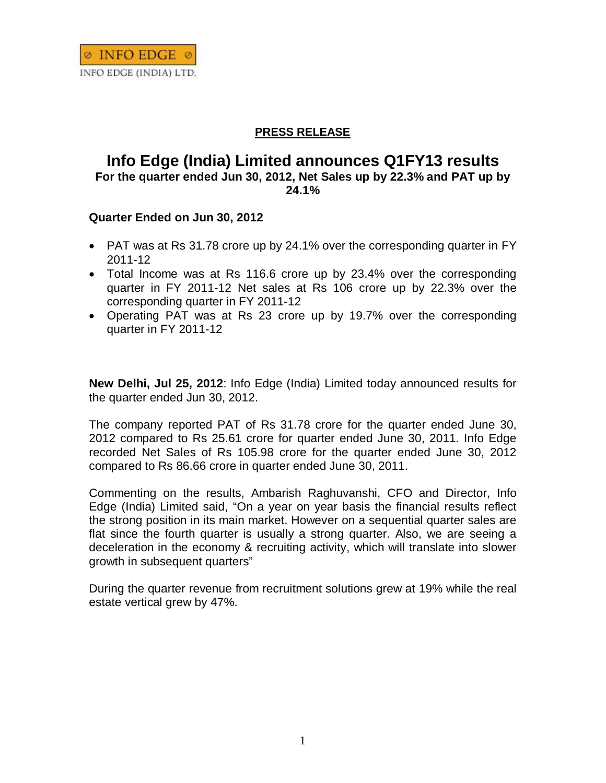

## **PRESS RELEASE**

## **Info Edge (India) Limited announces Q1FY13 results For the quarter ended Jun 30, 2012, Net Sales up by 22.3% and PAT up by 24.1%**

## **Quarter Ended on Jun 30, 2012**

- PAT was at Rs 31.78 crore up by 24.1% over the corresponding quarter in FY 2011-12
- Total Income was at Rs 116.6 crore up by 23.4% over the corresponding quarter in FY 2011-12 Net sales at Rs 106 crore up by 22.3% over the corresponding quarter in FY 2011-12
- Operating PAT was at Rs 23 crore up by 19.7% over the corresponding quarter in FY 2011-12

**New Delhi, Jul 25, 2012**: Info Edge (India) Limited today announced results for the quarter ended Jun 30, 2012.

The company reported PAT of Rs 31.78 crore for the quarter ended June 30, 2012 compared to Rs 25.61 crore for quarter ended June 30, 2011. Info Edge recorded Net Sales of Rs 105.98 crore for the quarter ended June 30, 2012 compared to Rs 86.66 crore in quarter ended June 30, 2011.

Commenting on the results, Ambarish Raghuvanshi, CFO and Director, Info Edge (India) Limited said, "On a year on year basis the financial results reflect the strong position in its main market. However on a sequential quarter sales are flat since the fourth quarter is usually a strong quarter. Also, we are seeing a deceleration in the economy & recruiting activity, which will translate into slower growth in subsequent quarters"

During the quarter revenue from recruitment solutions grew at 19% while the real estate vertical grew by 47%.